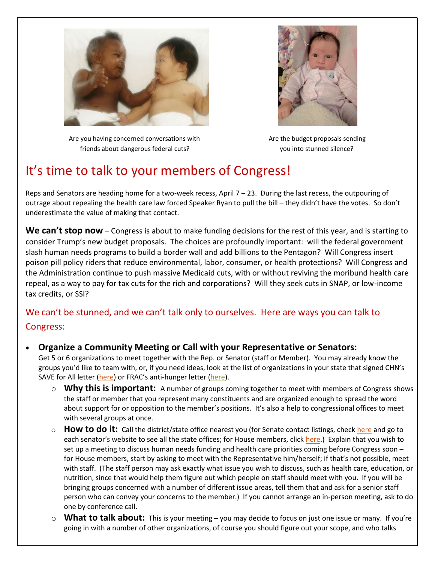



Are you having concerned conversations with Are the budget proposals sending friends about dangerous federal cuts? you into stunned silence?

# It's time to talk to your members of Congress!

Reps and Senators are heading home for a two-week recess, April 7 – 23. During the last recess, the outpouring of outrage about repealing the health care law forced Speaker Ryan to pull the bill – they didn't have the votes. So don't underestimate the value of making that contact.

We can't stop now – Congress is about to make funding decisions for the rest of this year, and is starting to consider Trump's new budget proposals. The choices are profoundly important: will the federal government slash human needs programs to build a border wall and add billions to the Pentagon? Will Congress insert poison pill policy riders that reduce environmental, labor, consumer, or health protections? Will Congress and the Administration continue to push massive Medicaid cuts, with or without reviving the moribund health care repeal, as a way to pay for tax cuts for the rich and corporations? Will they seek cuts in SNAP, or low-income tax credits, or SSI?

# We can't be stunned, and we can't talk only to ourselves. Here are ways you can talk to Congress:

- **Organize a Community Meeting or Call with your Representative or Senators:** Get 5 or 6 organizations to meet together with the Rep. or Senator (staff or Member). You may already know the groups you'd like to team with, or, if you need ideas, look at the list of organizations in your state that signed CHN's SAVE for All letter [\(here](http://www.chn.org/wp-content/uploads/2016/11/SAVE-for-all-letter-11-17-16final.pdf)) or FRAC's anti-hunger letter [\(here\)](http://frac.org/wp-content/uploads/naho-signers-list-2017.pdf).
	- o **Why this is important:** A number of groups coming together to meet with members of Congress shows the staff or member that you represent many constituents and are organized enough to spread the word about support for or opposition to the member's positions. It's also a help to congressional offices to meet with several groups at once.
	- **How to do it:** Call the district/state office nearest you (for Senate contact listings, chec[k here](https://www.senate.gov/senators/contact/) and go to each senator's website to see all the state offices; for House members, click [here.](http://www.house.gov/representatives/)) Explain that you wish to set up a meeting to discuss human needs funding and health care priorities coming before Congress soon – for House members, start by asking to meet with the Representative him/herself; if that's not possible, meet with staff. (The staff person may ask exactly what issue you wish to discuss, such as health care, education, or nutrition, since that would help them figure out which people on staff should meet with you. If you will be bringing groups concerned with a number of different issue areas, tell them that and ask for a senior staff person who can convey your concerns to the member.) If you cannot arrange an in-person meeting, ask to do one by conference call.
	- o **What to talk about:** This is your meeting you may decide to focus on just one issue or many. If you're going in with a number of other organizations, of course you should figure out your scope, and who talks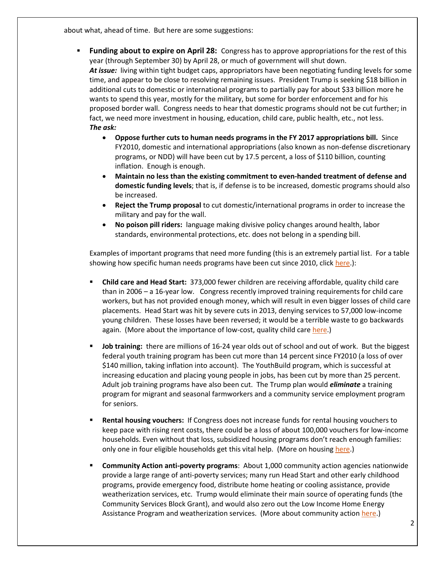about what, ahead of time. But here are some suggestions:

- **Funding about to expire on April 28:** Congress has to approve appropriations for the rest of this year (through September 30) by April 28, or much of government will shut down. *At issue:* living within tight budget caps, appropriators have been negotiating funding levels for some time, and appear to be close to resolving remaining issues. President Trump is seeking \$18 billion in additional cuts to domestic or international programs to partially pay for about \$33 billion more he wants to spend this year, mostly for the military, but some for border enforcement and for his proposed border wall. Congress needs to hear that domestic programs should not be cut further; in fact, we need more investment in housing, education, child care, public health, etc., not less. *The ask:*
	- **Oppose further cuts to human needs programs in the FY 2017 appropriations bill.** Since FY2010, domestic and international appropriations (also known as non-defense discretionary programs, or NDD) will have been cut by 17.5 percent, a loss of \$110 billion, counting inflation. Enough is enough.
	- **Maintain no less than the existing commitment to even-handed treatment of defense and domestic funding levels**; that is, if defense is to be increased, domestic programs should also be increased.
	- **Reject the Trump proposal** to cut domestic/international programs in order to increase the military and pay for the wall.
	- **No poison pill riders:** language making divisive policy changes around health, labor standards, environmental protections, etc. does not belong in a spending bill.

Examples of important programs that need more funding (this is an extremely partial list. For a table showing how specific human needs programs have been cut since 2010, click [here.](http://www.chn.org/wp-content/uploads/2016/02/Despite-Gains-in-FY16-Most-Programs-Lost-Ground-Since-2010-chart-and-cover-page-02-22-2016.pdf)):

- **Child care and Head Start:** 373,000 fewer children are receiving affordable, quality child care than in 2006 – a 16-year low. Congress recently improved training requirements for child care workers, but has not provided enough money, which will result in even bigger losses of child care placements. Head Start was hit by severe cuts in 2013, denying services to 57,000 low-income young children. These losses have been reversed; it would be a terrible waste to go backwards again. (More about the importance of low-cost, quality child care [here.](http://www.chn.org/wp-content/uploads/2015/07/Child-Care-Assistance-Outcomes-2016-Update.pdf))
- **Job training:** there are millions of 16-24 year olds out of school and out of work. But the biggest federal youth training program has been cut more than 14 percent since FY2010 (a loss of over \$140 million, taking inflation into account). The YouthBuild program, which is successful at increasing education and placing young people in jobs, has been cut by more than 25 percent. Adult job training programs have also been cut. The Trump plan would *eliminate* a training program for migrant and seasonal farmworkers and a community service employment program for seniors.
- **Rental housing vouchers:** If Congress does not increase funds for rental housing vouchers to keep pace with rising rent costs, there could be a loss of about 100,000 vouchers for low-income households. Even without that loss, subsidized housing programs don't reach enough families: only one in four eligible households get this vital help. (More on housing [here.](http://www.cbpp.org/research/housing/national-and-state-housing-fact-sheets-data))
- **Community Action anti-poverty programs**: About 1,000 community action agencies nationwide provide a large range of anti-poverty services; many run Head Start and other early childhood programs, provide emergency food, distribute home heating or cooling assistance, provide weatherization services, etc. Trump would eliminate their main source of operating funds (the Community Services Block Grant), and would also zero out the Low Income Home Energy Assistance Program and weatherization services. (More about community action [here.](https://thestateofpoverty.org/2017/03/28/csbg-empowering-states-and-local-communities-to-lead-on-poverty/))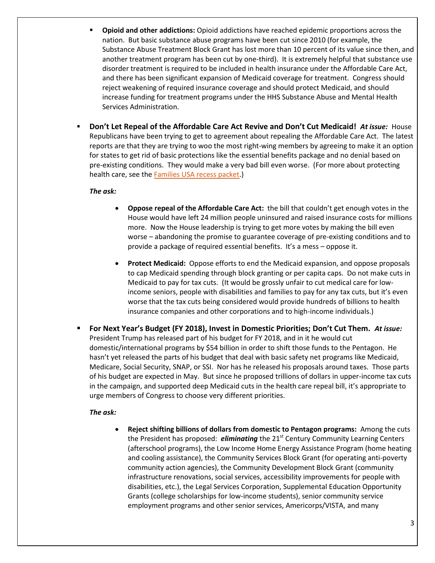- **Opioid and other addictions:** Opioid addictions have reached epidemic proportions across the nation. But basic substance abuse programs have been cut since 2010 (for example, the Substance Abuse Treatment Block Grant has lost more than 10 percent of its value since then, and another treatment program has been cut by one-third). It is extremely helpful that substance use disorder treatment is required to be included in health insurance under the Affordable Care Act, and there has been significant expansion of Medicaid coverage for treatment. Congress should reject weakening of required insurance coverage and should protect Medicaid, and should increase funding for treatment programs under the HHS Substance Abuse and Mental Health Services Administration.
- **Don't Let Repeal of the Affordable Care Act Revive and Don't Cut Medicaid!** *At issue:*House Republicans have been trying to get to agreement about repealing the Affordable Care Act. The latest reports are that they are trying to woo the most right-wing members by agreeing to make it an option for states to get rid of basic protections like the essential benefits package and no denial based on pre-existing conditions. They would make a very bad bill even worse. (For more about protecting health care, see th[e Families USA recess packet.](http://familiesusa.org/blog/2017/04/keep-pressure-congress-protect-our-health-care))

#### *The ask:*

- **Oppose repeal of the Affordable Care Act:** the bill that couldn't get enough votes in the House would have left 24 million people uninsured and raised insurance costs for millions more. Now the House leadership is trying to get more votes by making the bill even worse – abandoning the promise to guarantee coverage of pre-existing conditions and to provide a package of required essential benefits. It's a mess – oppose it.
- **Protect Medicaid:** Oppose efforts to end the Medicaid expansion, and oppose proposals to cap Medicaid spending through block granting or per capita caps. Do not make cuts in Medicaid to pay for tax cuts. (It would be grossly unfair to cut medical care for lowincome seniors, people with disabilities and families to pay for any tax cuts, but it's even worse that the tax cuts being considered would provide hundreds of billions to health insurance companies and other corporations and to high-income individuals.)
- **For Next Year's Budget (FY 2018), Invest in Domestic Priorities; Don't Cut Them.** *At issue:*  President Trump has released part of his budget for FY 2018, and in it he would cut domestic/international programs by \$54 billion in order to shift those funds to the Pentagon. He hasn't yet released the parts of his budget that deal with basic safety net programs like Medicaid, Medicare, Social Security, SNAP, or SSI. Nor has he released his proposals around taxes. Those parts of his budget are expected in May. But since he proposed trillions of dollars in upper-income tax cuts in the campaign, and supported deep Medicaid cuts in the health care repeal bill, it's appropriate to urge members of Congress to choose very different priorities.

#### *The ask:*

 **Reject shifting billions of dollars from domestic to Pentagon programs:** Among the cuts the President has proposed: *eliminating* the 21<sup>st</sup> Century Community Learning Centers (afterschool programs), the Low Income Home Energy Assistance Program (home heating and cooling assistance), the Community Services Block Grant (for operating anti-poverty community action agencies), the Community Development Block Grant (community infrastructure renovations, social services, accessibility improvements for people with disabilities, etc.), the Legal Services Corporation, Supplemental Education Opportunity Grants (college scholarships for low-income students), senior community service employment programs and other senior services, Americorps/VISTA, and many